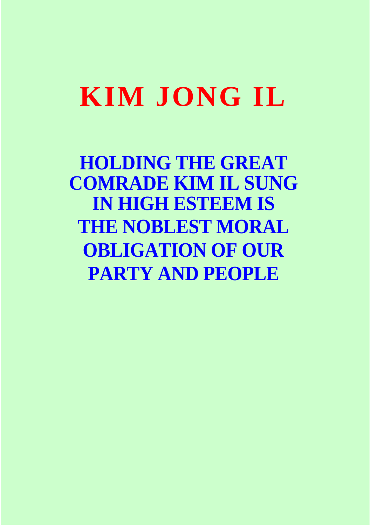## **KIM JONG IL**

**HOLDING THE GREAT COMRADE KIM IL SUNG IN HIGH ESTEEM IS THE NOBLEST MORAL OBLIGATION OF OUR PARTY AND PEOPLE**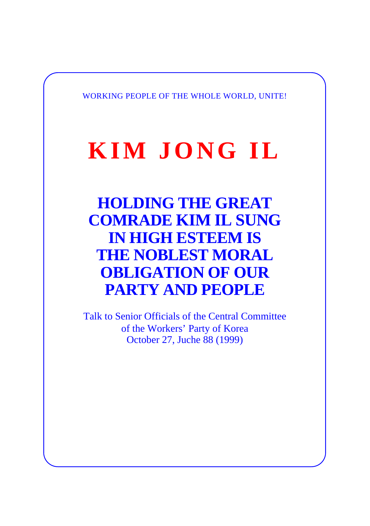WORKING PEOPLE OF THE WHOLE WORLD, UNITE!

## **KIM JONG IL**

**HOLDING THE GREAT COMRADE KIM IL SUNG IN HIGH ESTEEM IS THE NOBLEST MORAL OBLIGATION OF OUR PARTY AND PEOPLE** 

Talk to Senior Officials of the Central Committee of the Workers' Party of Korea October 27, Juche 88 (1999)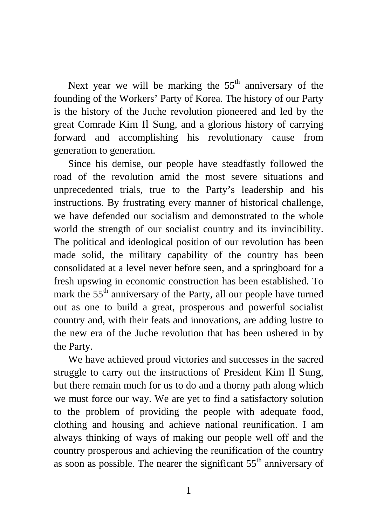Next year we will be marking the  $55<sup>th</sup>$  anniversary of the founding of the Workers' Party of Korea. The history of our Party is the history of the Juche revolution pioneered and led by the great Comrade Kim Il Sung, and a glorious history of carrying forward and accomplishing his revolutionary cause from generation to generation.

Since his demise, our people have steadfastly followed the road of the revolution amid the most severe situations and unprecedented trials, true to the Party's leadership and his instructions. By frustrating every manner of historical challenge, we have defended our socialism and demonstrated to the whole world the strength of our socialist country and its invincibility. The political and ideological position of our revolution has been made solid, the military capability of the country has been consolidated at a level never before seen, and a springboard for a fresh upswing in economic construction has been established. To mark the 55<sup>th</sup> anniversary of the Party, all our people have turned out as one to build a great, prosperous and powerful socialist country and, with their feats and innovations, are adding lustre to the new era of the Juche revolution that has been ushered in by the Party.

We have achieved proud victories and successes in the sacred struggle to carry out the instructions of President Kim Il Sung, but there remain much for us to do and a thorny path along which we must force our way. We are yet to find a satisfactory solution to the problem of providing the people with adequate food, clothing and housing and achieve national reunification. I am always thinking of ways of making our people well off and the country prosperous and achieving the reunification of the country as soon as possible. The nearer the significant  $55<sup>th</sup>$  anniversary of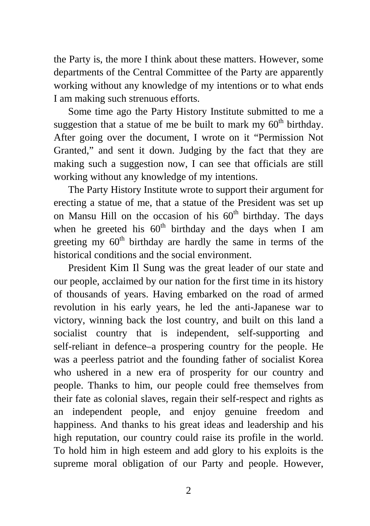the Party is, the more I think about these matters. However, some departments of the Central Committee of the Party are apparently working without any knowledge of my intentions or to what ends I am making such strenuous efforts.

Some time ago the Party History Institute submitted to me a suggestion that a statue of me be built to mark my  $60<sup>th</sup>$  birthday. After going over the document, I wrote on it "Permission Not Granted," and sent it down. Judging by the fact that they are making such a suggestion now, I can see that officials are still working without any knowledge of my intentions.

The Party History Institute wrote to support their argument for erecting a statue of me, that a statue of the President was set up on Mansu Hill on the occasion of his  $60<sup>th</sup>$  birthday. The days when he greeted his  $60<sup>th</sup>$  birthday and the days when I am greeting my  $60<sup>th</sup>$  birthday are hardly the same in terms of the historical conditions and the social environment.

President Kim Il Sung was the great leader of our state and our people, acclaimed by our nation for the first time in its history of thousands of years. Having embarked on the road of armed revolution in his early years, he led the anti-Japanese war to victory, winning back the lost country, and built on this land a socialist country that is independent, self-supporting and self-reliant in defence–a prospering country for the people. He was a peerless patriot and the founding father of socialist Korea who ushered in a new era of prosperity for our country and people. Thanks to him, our people could free themselves from their fate as colonial slaves, regain their self-respect and rights as an independent people, and enjoy genuine freedom and happiness. And thanks to his great ideas and leadership and his high reputation, our country could raise its profile in the world. To hold him in high esteem and add glory to his exploits is the supreme moral obligation of our Party and people. However,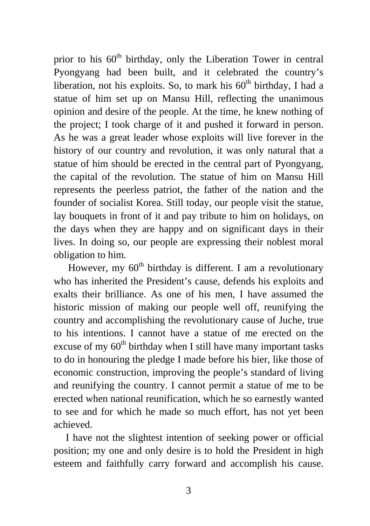prior to his  $60<sup>th</sup>$  birthday, only the Liberation Tower in central Pyongyang had been built, and it celebrated the country's liberation, not his exploits. So, to mark his  $60<sup>th</sup>$  birthday, I had a statue of him set up on Mansu Hill, reflecting the unanimous opinion and desire of the people. At the time, he knew nothing of the project; I took charge of it and pushed it forward in person. As he was a great leader whose exploits will live forever in the history of our country and revolution, it was only natural that a statue of him should be erected in the central part of Pyongyang, the capital of the revolution. The statue of him on Mansu Hill represents the peerless patriot, the father of the nation and the founder of socialist Korea. Still today, our people visit the statue, lay bouquets in front of it and pay tribute to him on holidays, on the days when they are happy and on significant days in their lives. In doing so, our people are expressing their noblest moral obligation to him.

However, my  $60<sup>th</sup>$  birthday is different. I am a revolutionary who has inherited the President's cause, defends his exploits and exalts their brilliance. As one of his men, I have assumed the historic mission of making our people well off, reunifying the country and accomplishing the revolutionary cause of Juche, true to his intentions. I cannot have a statue of me erected on the excuse of my  $60<sup>th</sup>$  birthday when I still have many important tasks to do in honouring the pledge I made before his bier, like those of economic construction, improving the people's standard of living and reunifying the country. I cannot permit a statue of me to be erected when national reunification, which he so earnestly wanted to see and for which he made so much effort, has not yet been achieved.

I have not the slightest intention of seeking power or official position; my one and only desire is to hold the President in high esteem and faithfully carry forward and accomplish his cause.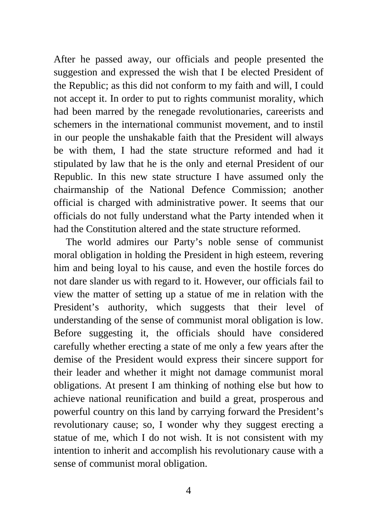After he passed away, our officials and people presented the suggestion and expressed the wish that I be elected President of the Republic; as this did not conform to my faith and will, I could not accept it. In order to put to rights communist morality, which had been marred by the renegade revolutionaries, careerists and schemers in the international communist movement, and to instil in our people the unshakable faith that the President will always be with them, I had the state structure reformed and had it stipulated by law that he is the only and eternal President of our Republic. In this new state structure I have assumed only the chairmanship of the National Defence Commission; another official is charged with administrative power. It seems that our officials do not fully understand what the Party intended when it had the Constitution altered and the state structure reformed.

The world admires our Party's noble sense of communist moral obligation in holding the President in high esteem, revering him and being loyal to his cause, and even the hostile forces do not dare slander us with regard to it. However, our officials fail to view the matter of setting up a statue of me in relation with the President's authority, which suggests that their level of understanding of the sense of communist moral obligation is low. Before suggesting it, the officials should have considered carefully whether erecting a state of me only a few years after the demise of the President would express their sincere support for their leader and whether it might not damage communist moral obligations. At present I am thinking of nothing else but how to achieve national reunification and build a great, prosperous and powerful country on this land by carrying forward the President's revolutionary cause; so, I wonder why they suggest erecting a statue of me, which I do not wish. It is not consistent with my intention to inherit and accomplish his revolutionary cause with a sense of communist moral obligation.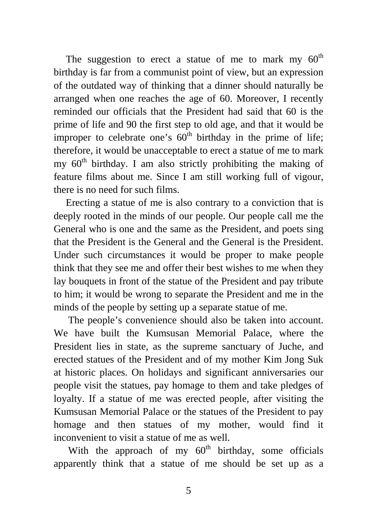The suggestion to erect a statue of me to mark my  $60<sup>th</sup>$ birthday is far from a communist point of view, but an expression of the outdated way of thinking that a dinner should naturally be arranged when one reaches the age of 60. Moreover, I recently reminded our officials that the President had said that 60 is the prime of life and 90 the first step to old age, and that it would be improper to celebrate one's  $60<sup>th</sup>$  birthday in the prime of life; therefore, it would be unacceptable to erect a statue of me to mark my  $60<sup>th</sup>$  birthday. I am also strictly prohibiting the making of feature films about me. Since I am still working full of vigour, there is no need for such films.

Erecting a statue of me is also contrary to a conviction that is deeply rooted in the minds of our people. Our people call me the General who is one and the same as the President, and poets sing that the President is the General and the General is the President. Under such circumstances it would be proper to make people think that they see me and offer their best wishes to me when they lay bouquets in front of the statue of the President and pay tribute to him; it would be wrong to separate the President and me in the minds of the people by setting up a separate statue of me.

The people's convenience should also be taken into account. We have built the Kumsusan Memorial Palace, where the President lies in state, as the supreme sanctuary of Juche, and erected statues of the President and of my mother Kim Jong Suk at historic places. On holidays and significant anniversaries our people visit the statues, pay homage to them and take pledges of loyalty. If a statue of me was erected people, after visiting the Kumsusan Memorial Palace or the statues of the President to pay homage and then statues of my mother, would find it inconvenient to visit a statue of me as well.

With the approach of my  $60<sup>th</sup>$  birthday, some officials apparently think that a statue of me should be set up as a

5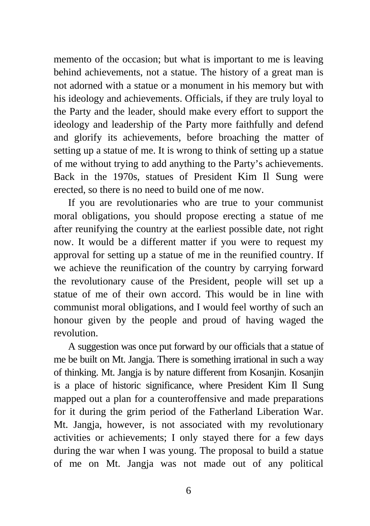memento of the occasion; but what is important to me is leaving behind achievements, not a statue. The history of a great man is not adorned with a statue or a monument in his memory but with his ideology and achievements. Officials, if they are truly loyal to the Party and the leader, should make every effort to support the ideology and leadership of the Party more faithfully and defend and glorify its achievements, before broaching the matter of setting up a statue of me. It is wrong to think of setting up a statue of me without trying to add anything to the Party's achievements. Back in the 1970s, statues of President Kim Il Sung were erected, so there is no need to build one of me now.

If you are revolutionaries who are true to your communist moral obligations, you should propose erecting a statue of me after reunifying the country at the earliest possible date, not right now. It would be a different matter if you were to request my approval for setting up a statue of me in the reunified country. If we achieve the reunification of the country by carrying forward the revolutionary cause of the President, people will set up a statue of me of their own accord. This would be in line with communist moral obligations, and I would feel worthy of such an honour given by the people and proud of having waged the revolution.

A suggestion was once put forward by our officials that a statue of me be built on Mt. Jangja. There is something irrational in such a way of thinking. Mt. Jangja is by nature different from Kosanjin. Kosanjin is a place of historic significance, where President Kim Il Sung mapped out a plan for a counteroffensive and made preparations for it during the grim period of the Fatherland Liberation War. Mt. Jangja, however, is not associated with my revolutionary activities or achievements; I only stayed there for a few days during the war when I was young. The proposal to build a statue of me on Mt. Jangja was not made out of any political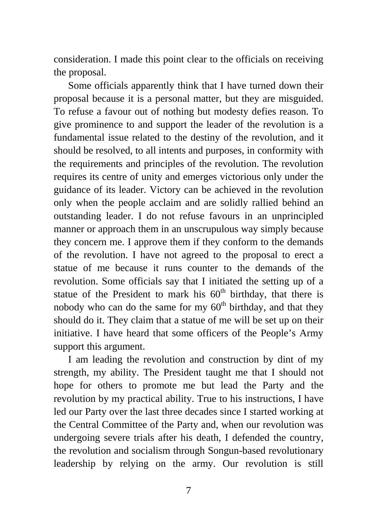consideration. I made this point clear to the officials on receiving the proposal.

Some officials apparently think that I have turned down their proposal because it is a personal matter, but they are misguided. To refuse a favour out of nothing but modesty defies reason. To give prominence to and support the leader of the revolution is a fundamental issue related to the destiny of the revolution, and it should be resolved, to all intents and purposes, in conformity with the requirements and principles of the revolution. The revolution requires its centre of unity and emerges victorious only under the guidance of its leader. Victory can be achieved in the revolution only when the people acclaim and are solidly rallied behind an outstanding leader. I do not refuse favours in an unprincipled manner or approach them in an unscrupulous way simply because they concern me. I approve them if they conform to the demands of the revolution. I have not agreed to the proposal to erect a statue of me because it runs counter to the demands of the revolution. Some officials say that I initiated the setting up of a statue of the President to mark his  $60<sup>th</sup>$  birthday, that there is nobody who can do the same for my  $60<sup>th</sup>$  birthday, and that they should do it. They claim that a statue of me will be set up on their initiative. I have heard that some officers of the People's Army support this argument.

I am leading the revolution and construction by dint of my strength, my ability. The President taught me that I should not hope for others to promote me but lead the Party and the revolution by my practical ability. True to his instructions, I have led our Party over the last three decades since I started working at the Central Committee of the Party and, when our revolution was undergoing severe trials after his death, I defended the country, the revolution and socialism through Songun-based revolutionary leadership by relying on the army. Our revolution is still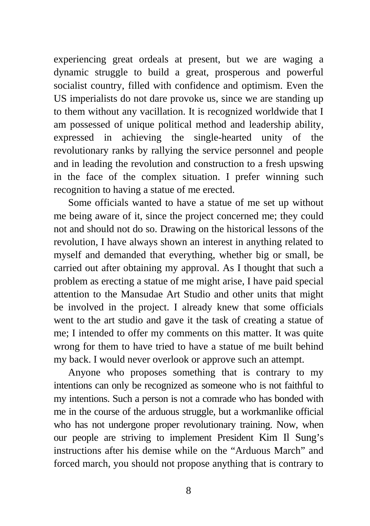experiencing great ordeals at present, but we are waging a dynamic struggle to build a great, prosperous and powerful socialist country, filled with confidence and optimism. Even the US imperialists do not dare provoke us, since we are standing up to them without any vacillation. It is recognized worldwide that I am possessed of unique political method and leadership ability, expressed in achieving the single-hearted unity of the revolutionary ranks by rallying the service personnel and people and in leading the revolution and construction to a fresh upswing in the face of the complex situation. I prefer winning such recognition to having a statue of me erected.

Some officials wanted to have a statue of me set up without me being aware of it, since the project concerned me; they could not and should not do so. Drawing on the historical lessons of the revolution, I have always shown an interest in anything related to myself and demanded that everything, whether big or small, be carried out after obtaining my approval. As I thought that such a problem as erecting a statue of me might arise, I have paid special attention to the Mansudae Art Studio and other units that might be involved in the project. I already knew that some officials went to the art studio and gave it the task of creating a statue of me; I intended to offer my comments on this matter. It was quite wrong for them to have tried to have a statue of me built behind my back. I would never overlook or approve such an attempt.

Anyone who proposes something that is contrary to my intentions can only be recognized as someone who is not faithful to my intentions. Such a person is not a comrade who has bonded with me in the course of the arduous struggle, but a workmanlike official who has not undergone proper revolutionary training. Now, when our people are striving to implement President Kim Il Sung's instructions after his demise while on the "Arduous March" and forced march, you should not propose anything that is contrary to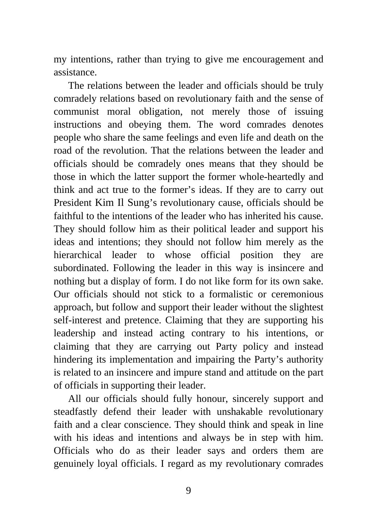my intentions, rather than trying to give me encouragement and assistance.

The relations between the leader and officials should be truly comradely relations based on revolutionary faith and the sense of communist moral obligation, not merely those of issuing instructions and obeying them. The word comrades denotes people who share the same feelings and even life and death on the road of the revolution. That the relations between the leader and officials should be comradely ones means that they should be those in which the latter support the former whole-heartedly and think and act true to the former's ideas. If they are to carry out President Kim Il Sung's revolutionary cause, officials should be faithful to the intentions of the leader who has inherited his cause. They should follow him as their political leader and support his ideas and intentions; they should not follow him merely as the hierarchical leader to whose official position they are subordinated. Following the leader in this way is insincere and nothing but a display of form. I do not like form for its own sake. Our officials should not stick to a formalistic or ceremonious approach, but follow and support their leader without the slightest self-interest and pretence. Claiming that they are supporting his leadership and instead acting contrary to his intentions, or claiming that they are carrying out Party policy and instead hindering its implementation and impairing the Party's authority is related to an insincere and impure stand and attitude on the part of officials in supporting their leader.

All our officials should fully honour, sincerely support and steadfastly defend their leader with unshakable revolutionary faith and a clear conscience. They should think and speak in line with his ideas and intentions and always be in step with him. Officials who do as their leader says and orders them are genuinely loyal officials. I regard as my revolutionary comrades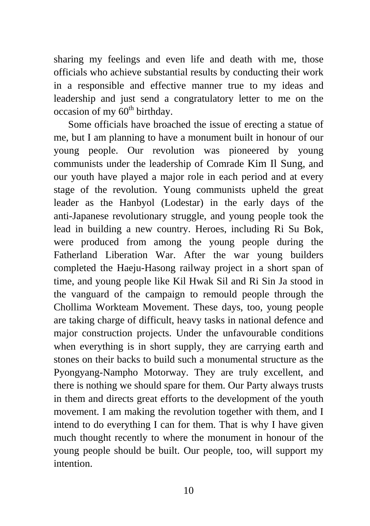sharing my feelings and even life and death with me, those officials who achieve substantial results by conducting their work in a responsible and effective manner true to my ideas and leadership and just send a congratulatory letter to me on the occasion of my  $60<sup>th</sup>$  birthday.

Some officials have broached the issue of erecting a statue of me, but I am planning to have a monument built in honour of our young people. Our revolution was pioneered by young communists under the leadership of Comrade Kim Il Sung, and our youth have played a major role in each period and at every stage of the revolution. Young communists upheld the great leader as the Hanbyol (Lodestar) in the early days of the anti-Japanese revolutionary struggle, and young people took the lead in building a new country. Heroes, including Ri Su Bok, were produced from among the young people during the Fatherland Liberation War. After the war young builders completed the Haeju-Hasong railway project in a short span of time, and young people like Kil Hwak Sil and Ri Sin Ja stood in the vanguard of the campaign to remould people through the Chollima Workteam Movement. These days, too, young people are taking charge of difficult, heavy tasks in national defence and major construction projects. Under the unfavourable conditions when everything is in short supply, they are carrying earth and stones on their backs to build such a monumental structure as the Pyongyang-Nampho Motorway. They are truly excellent, and there is nothing we should spare for them. Our Party always trusts in them and directs great efforts to the development of the youth movement. I am making the revolution together with them, and I intend to do everything I can for them. That is why I have given much thought recently to where the monument in honour of the young people should be built. Our people, too, will support my intention.